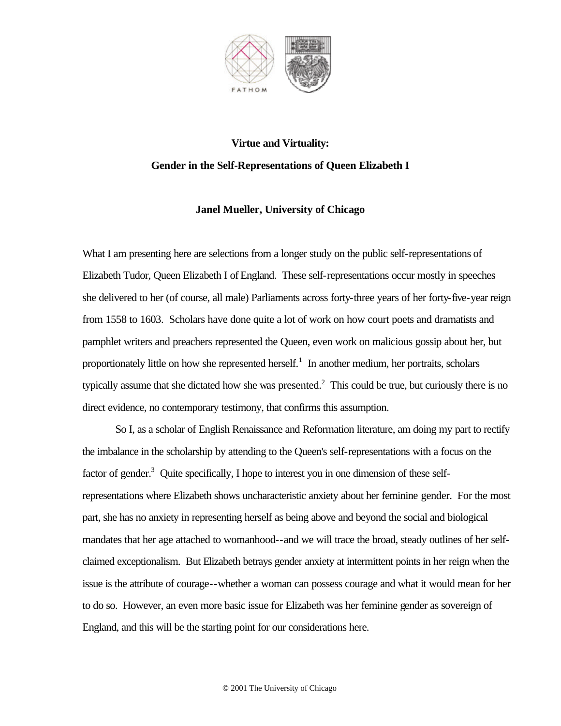

# **Virtue and Virtuality: Gender in the Self-Representations of Queen Elizabeth I**

## **Janel Mueller, University of Chicago**

What I am presenting here are selections from a longer study on the public self-representations of Elizabeth Tudor, Queen Elizabeth I of England. These self-representations occur mostly in speeches she delivered to her (of course, all male) Parliaments across forty-three years of her forty-five-year reign from 1558 to 1603. Scholars have done quite a lot of work on how court poets and dramatists and pamphlet writers and preachers represented the Queen, even work on malicious gossip about her, but proportionately little on how she represented herself.<sup>1</sup> In another medium, her portraits, scholars typically assume that she dictated how she was presented. $2$  This could be true, but curiously there is no direct evidence, no contemporary testimony, that confirms this assumption.

So I, as a scholar of English Renaissance and Reformation literature, am doing my part to rectify the imbalance in the scholarship by attending to the Queen's self-representations with a focus on the factor of gender.<sup>3</sup> Quite specifically, I hope to interest you in one dimension of these selfrepresentations where Elizabeth shows uncharacteristic anxiety about her feminine gender. For the most part, she has no anxiety in representing herself as being above and beyond the social and biological mandates that her age attached to womanhood--and we will trace the broad, steady outlines of her selfclaimed exceptionalism. But Elizabeth betrays gender anxiety at intermittent points in her reign when the issue is the attribute of courage--whether a woman can possess courage and what it would mean for her to do so. However, an even more basic issue for Elizabeth was her feminine gender as sovereign of England, and this will be the starting point for our considerations here.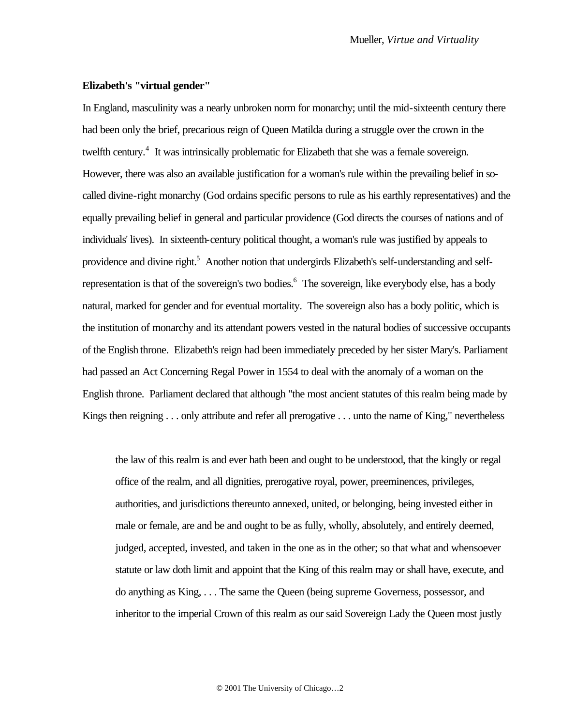## **Elizabeth's "virtual gender"**

In England, masculinity was a nearly unbroken norm for monarchy; until the mid-sixteenth century there had been only the brief, precarious reign of Queen Matilda during a struggle over the crown in the twelfth century.<sup>4</sup> It was intrinsically problematic for Elizabeth that she was a female sovereign. However, there was also an available justification for a woman's rule within the prevailing belief in socalled divine-right monarchy (God ordains specific persons to rule as his earthly representatives) and the equally prevailing belief in general and particular providence (God directs the courses of nations and of individuals' lives). In sixteenth-century political thought, a woman's rule was justified by appeals to providence and divine right.<sup>5</sup> Another notion that undergirds Elizabeth's self-understanding and selfrepresentation is that of the sovereign's two bodies.<sup>6</sup> The sovereign, like everybody else, has a body natural, marked for gender and for eventual mortality. The sovereign also has a body politic, which is the institution of monarchy and its attendant powers vested in the natural bodies of successive occupants of the English throne. Elizabeth's reign had been immediately preceded by her sister Mary's. Parliament had passed an Act Concerning Regal Power in 1554 to deal with the anomaly of a woman on the English throne. Parliament declared that although "the most ancient statutes of this realm being made by Kings then reigning . . . only attribute and refer all prerogative . . . unto the name of King," nevertheless

the law of this realm is and ever hath been and ought to be understood, that the kingly or regal office of the realm, and all dignities, prerogative royal, power, preeminences, privileges, authorities, and jurisdictions thereunto annexed, united, or belonging, being invested either in male or female, are and be and ought to be as fully, wholly, absolutely, and entirely deemed, judged, accepted, invested, and taken in the one as in the other; so that what and whensoever statute or law doth limit and appoint that the King of this realm may or shall have, execute, and do anything as King, . . . The same the Queen (being supreme Governess, possessor, and inheritor to the imperial Crown of this realm as our said Sovereign Lady the Queen most justly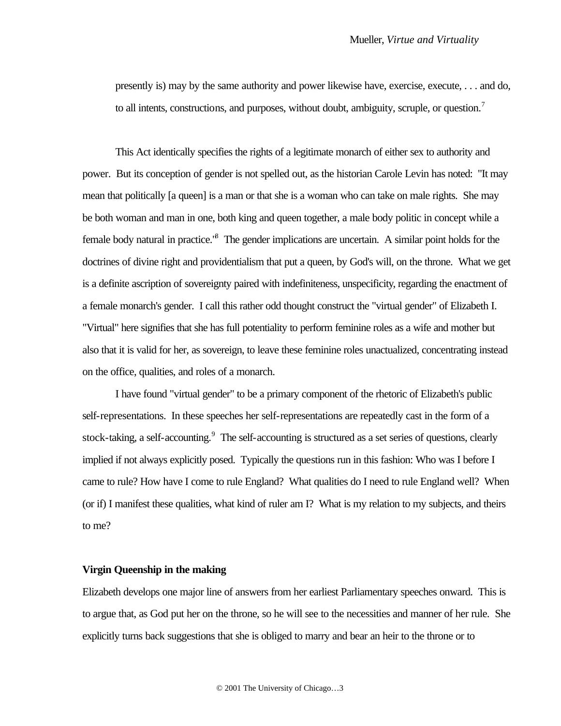presently is) may by the same authority and power likewise have, exercise, execute, . . . and do, to all intents, constructions, and purposes, without doubt, ambiguity, scruple, or question.<sup>7</sup>

This Act identically specifies the rights of a legitimate monarch of either sex to authority and power. But its conception of gender is not spelled out, as the historian Carole Levin has noted: "It may mean that politically [a queen] is a man or that she is a woman who can take on male rights. She may be both woman and man in one, both king and queen together, a male body politic in concept while a female body natural in practice.<sup>8</sup> The gender implications are uncertain. A similar point holds for the doctrines of divine right and providentialism that put a queen, by God's will, on the throne. What we get is a definite ascription of sovereignty paired with indefiniteness, unspecificity, regarding the enactment of a female monarch's gender. I call this rather odd thought construct the "virtual gender" of Elizabeth I. "Virtual" here signifies that she has full potentiality to perform feminine roles as a wife and mother but also that it is valid for her, as sovereign, to leave these feminine roles unactualized, concentrating instead on the office, qualities, and roles of a monarch.

I have found "virtual gender" to be a primary component of the rhetoric of Elizabeth's public self-representations. In these speeches her self-representations are repeatedly cast in the form of a stock-taking, a self-accounting.<sup>9</sup> The self-accounting is structured as a set series of questions, clearly implied if not always explicitly posed. Typically the questions run in this fashion: Who was I before I came to rule? How have I come to rule England? What qualities do I need to rule England well? When (or if) I manifest these qualities, what kind of ruler am I? What is my relation to my subjects, and theirs to me?

## **Virgin Queenship in the making**

Elizabeth develops one major line of answers from her earliest Parliamentary speeches onward. This is to argue that, as God put her on the throne, so he will see to the necessities and manner of her rule. She explicitly turns back suggestions that she is obliged to marry and bear an heir to the throne or to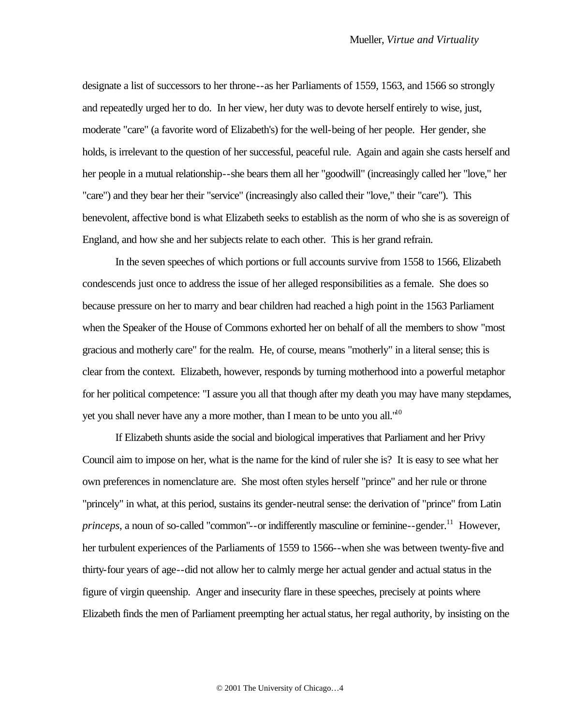designate a list of successors to her throne--as her Parliaments of 1559, 1563, and 1566 so strongly and repeatedly urged her to do. In her view, her duty was to devote herself entirely to wise, just, moderate "care" (a favorite word of Elizabeth's) for the well-being of her people. Her gender, she holds, is irrelevant to the question of her successful, peaceful rule. Again and again she casts herself and her people in a mutual relationship--she bears them all her "goodwill" (increasingly called her "love," her "care") and they bear her their "service" (increasingly also called their "love," their "care"). This benevolent, affective bond is what Elizabeth seeks to establish as the norm of who she is as sovereign of England, and how she and her subjects relate to each other. This is her grand refrain.

In the seven speeches of which portions or full accounts survive from 1558 to 1566, Elizabeth condescends just once to address the issue of her alleged responsibilities as a female. She does so because pressure on her to marry and bear children had reached a high point in the 1563 Parliament when the Speaker of the House of Commons exhorted her on behalf of all the members to show "most gracious and motherly care" for the realm. He, of course, means "motherly" in a literal sense; this is clear from the context. Elizabeth, however, responds by turning motherhood into a powerful metaphor for her political competence: "I assure you all that though after my death you may have many stepdames, yet you shall never have any a more mother, than I mean to be unto you all. $1^{10}$ 

If Elizabeth shunts aside the social and biological imperatives that Parliament and her Privy Council aim to impose on her, what is the name for the kind of ruler she is? It is easy to see what her own preferences in nomenclature are. She most often styles herself "prince" and her rule or throne "princely" in what, at this period, sustains its gender-neutral sense: the derivation of "prince" from Latin *princeps*, a noun of so-called "common"--or indifferently masculine or feminine--gender.<sup>11</sup> However, her turbulent experiences of the Parliaments of 1559 to 1566--when she was between twenty-five and thirty-four years of age--did not allow her to calmly merge her actual gender and actual status in the figure of virgin queenship. Anger and insecurity flare in these speeches, precisely at points where Elizabeth finds the men of Parliament preempting her actual status, her regal authority, by insisting on the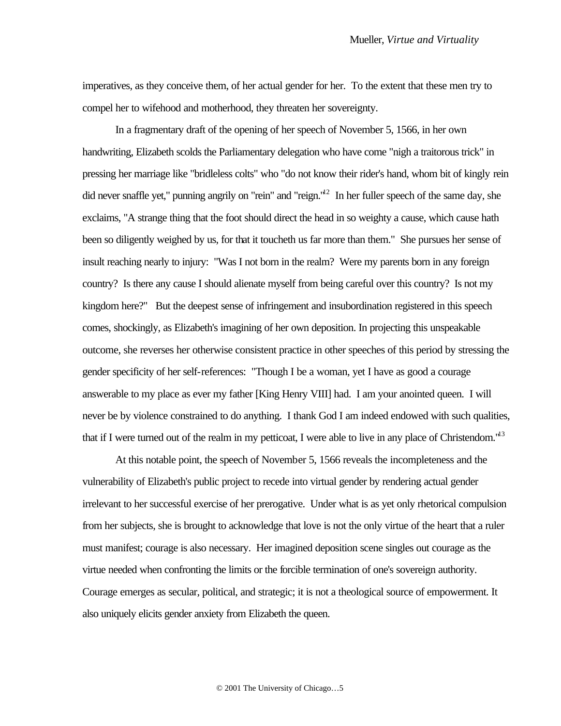imperatives, as they conceive them, of her actual gender for her. To the extent that these men try to compel her to wifehood and motherhood, they threaten her sovereignty.

In a fragmentary draft of the opening of her speech of November 5, 1566, in her own handwriting, Elizabeth scolds the Parliamentary delegation who have come "nigh a traitorous trick" in pressing her marriage like "bridleless colts" who "do not know their rider's hand, whom bit of kingly rein did never snaffle yet," punning angrily on "rein" and "reign."<sup>12</sup> In her fuller speech of the same day, she exclaims, "A strange thing that the foot should direct the head in so weighty a cause, which cause hath been so diligently weighed by us, for that it toucheth us far more than them." She pursues her sense of insult reaching nearly to injury: "Was I not born in the realm? Were my parents born in any foreign country? Is there any cause I should alienate myself from being careful over this country? Is not my kingdom here?" But the deepest sense of infringement and insubordination registered in this speech comes, shockingly, as Elizabeth's imagining of her own deposition. In projecting this unspeakable outcome, she reverses her otherwise consistent practice in other speeches of this period by stressing the gender specificity of her self-references: "Though I be a woman, yet I have as good a courage answerable to my place as ever my father [King Henry VIII] had. I am your anointed queen. I will never be by violence constrained to do anything. I thank God I am indeed endowed with such qualities, that if I were turned out of the realm in my petticoat, I were able to live in any place of Christendom."<sup>13</sup>

At this notable point, the speech of November 5, 1566 reveals the incompleteness and the vulnerability of Elizabeth's public project to recede into virtual gender by rendering actual gender irrelevant to her successful exercise of her prerogative. Under what is as yet only rhetorical compulsion from her subjects, she is brought to acknowledge that love is not the only virtue of the heart that a ruler must manifest; courage is also necessary. Her imagined deposition scene singles out courage as the virtue needed when confronting the limits or the forcible termination of one's sovereign authority. Courage emerges as secular, political, and strategic; it is not a theological source of empowerment. It also uniquely elicits gender anxiety from Elizabeth the queen.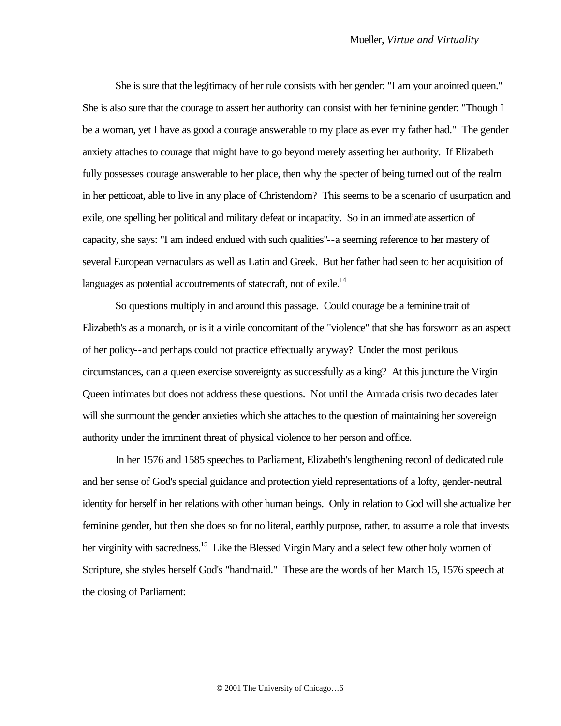She is sure that the legitimacy of her rule consists with her gender: "I am your anointed queen." She is also sure that the courage to assert her authority can consist with her feminine gender: "Though I be a woman, yet I have as good a courage answerable to my place as ever my father had." The gender anxiety attaches to courage that might have to go beyond merely asserting her authority. If Elizabeth fully possesses courage answerable to her place, then why the specter of being turned out of the realm in her petticoat, able to live in any place of Christendom? This seems to be a scenario of usurpation and exile, one spelling her political and military defeat or incapacity. So in an immediate assertion of capacity, she says: "I am indeed endued with such qualities"--a seeming reference to her mastery of several European vernaculars as well as Latin and Greek. But her father had seen to her acquisition of languages as potential accoutrements of statecraft, not of exile.<sup>14</sup>

So questions multiply in and around this passage. Could courage be a feminine trait of Elizabeth's as a monarch, or is it a virile concomitant of the "violence" that she has forsworn as an aspect of her policy--and perhaps could not practice effectually anyway? Under the most perilous circumstances, can a queen exercise sovereignty as successfully as a king? At this juncture the Virgin Queen intimates but does not address these questions. Not until the Armada crisis two decades later will she surmount the gender anxieties which she attaches to the question of maintaining her sovereign authority under the imminent threat of physical violence to her person and office.

In her 1576 and 1585 speeches to Parliament, Elizabeth's lengthening record of dedicated rule and her sense of God's special guidance and protection yield representations of a lofty, gender-neutral identity for herself in her relations with other human beings. Only in relation to God will she actualize her feminine gender, but then she does so for no literal, earthly purpose, rather, to assume a role that invests her virginity with sacredness.<sup>15</sup> Like the Blessed Virgin Mary and a select few other holy women of Scripture, she styles herself God's "handmaid." These are the words of her March 15, 1576 speech at the closing of Parliament: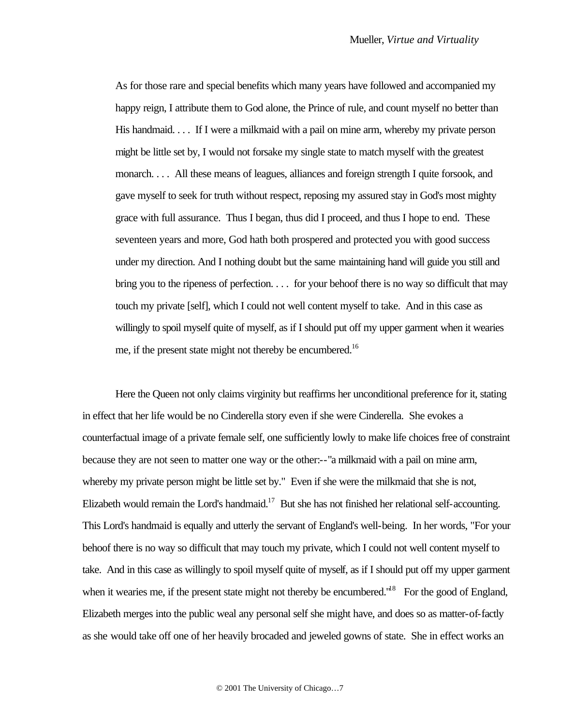As for those rare and special benefits which many years have followed and accompanied my happy reign, I attribute them to God alone, the Prince of rule, and count myself no better than His handmaid. . . . If I were a milkmaid with a pail on mine arm, whereby my private person might be little set by, I would not forsake my single state to match myself with the greatest monarch. . . . All these means of leagues, alliances and foreign strength I quite forsook, and gave myself to seek for truth without respect, reposing my assured stay in God's most mighty grace with full assurance. Thus I began, thus did I proceed, and thus I hope to end. These seventeen years and more, God hath both prospered and protected you with good success under my direction. And I nothing doubt but the same maintaining hand will guide you still and bring you to the ripeness of perfection. . . . for your behoof there is no way so difficult that may touch my private [self], which I could not well content myself to take. And in this case as willingly to spoil myself quite of myself, as if I should put off my upper garment when it wearies me, if the present state might not thereby be encumbered.<sup>16</sup>

Here the Queen not only claims virginity but reaffirms her unconditional preference for it, stating in effect that her life would be no Cinderella story even if she were Cinderella. She evokes a counterfactual image of a private female self, one sufficiently lowly to make life choices free of constraint because they are not seen to matter one way or the other:--"a milkmaid with a pail on mine arm, whereby my private person might be little set by." Even if she were the milkmaid that she is not, Elizabeth would remain the Lord's handmaid.<sup>17</sup> But she has not finished her relational self-accounting. This Lord's handmaid is equally and utterly the servant of England's well-being. In her words, "For your behoof there is no way so difficult that may touch my private, which I could not well content myself to take. And in this case as willingly to spoil myself quite of myself, as if I should put off my upper garment when it wearies me, if the present state might not thereby be encumbered."<sup>18</sup> For the good of England, Elizabeth merges into the public weal any personal self she might have, and does so as matter-of-factly as she would take off one of her heavily brocaded and jeweled gowns of state. She in effect works an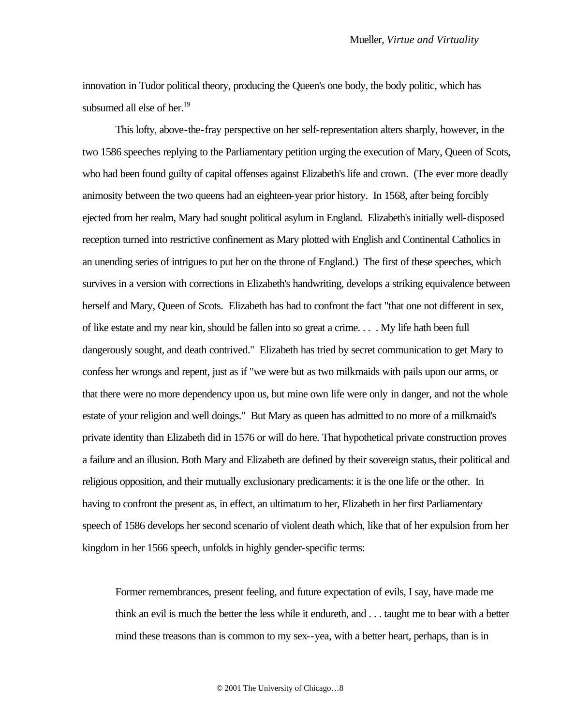innovation in Tudor political theory, producing the Queen's one body, the body politic, which has subsumed all else of her.<sup>19</sup>

This lofty, above-the-fray perspective on her self-representation alters sharply, however, in the two 1586 speeches replying to the Parliamentary petition urging the execution of Mary, Queen of Scots, who had been found guilty of capital offenses against Elizabeth's life and crown. (The ever more deadly animosity between the two queens had an eighteen-year prior history. In 1568, after being forcibly ejected from her realm, Mary had sought political asylum in England. Elizabeth's initially well-disposed reception turned into restrictive confinement as Mary plotted with English and Continental Catholics in an unending series of intrigues to put her on the throne of England.) The first of these speeches, which survives in a version with corrections in Elizabeth's handwriting, develops a striking equivalence between herself and Mary, Queen of Scots. Elizabeth has had to confront the fact "that one not different in sex, of like estate and my near kin, should be fallen into so great a crime. . . . My life hath been full dangerously sought, and death contrived." Elizabeth has tried by secret communication to get Mary to confess her wrongs and repent, just as if "we were but as two milkmaids with pails upon our arms, or that there were no more dependency upon us, but mine own life were only in danger, and not the whole estate of your religion and well doings." But Mary as queen has admitted to no more of a milkmaid's private identity than Elizabeth did in 1576 or will do here. That hypothetical private construction proves a failure and an illusion. Both Mary and Elizabeth are defined by their sovereign status, their political and religious opposition, and their mutually exclusionary predicaments: it is the one life or the other. In having to confront the present as, in effect, an ultimatum to her, Elizabeth in her first Parliamentary speech of 1586 develops her second scenario of violent death which, like that of her expulsion from her kingdom in her 1566 speech, unfolds in highly gender-specific terms:

Former remembrances, present feeling, and future expectation of evils, I say, have made me think an evil is much the better the less while it endureth, and . . . taught me to bear with a better mind these treasons than is common to my sex--yea, with a better heart, perhaps, than is in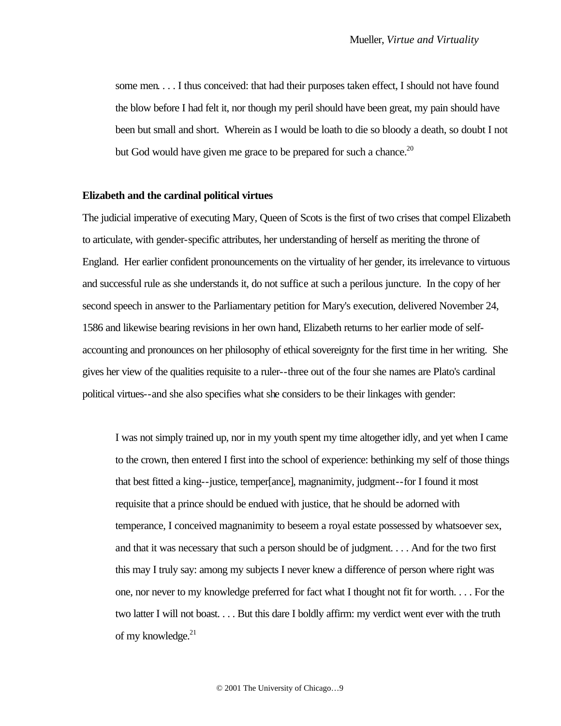some men. . . . I thus conceived: that had their purposes taken effect, I should not have found the blow before I had felt it, nor though my peril should have been great, my pain should have been but small and short. Wherein as I would be loath to die so bloody a death, so doubt I not but God would have given me grace to be prepared for such a chance.<sup>20</sup>

#### **Elizabeth and the cardinal political virtues**

The judicial imperative of executing Mary, Queen of Scots is the first of two crises that compel Elizabeth to articulate, with gender-specific attributes, her understanding of herself as meriting the throne of England. Her earlier confident pronouncements on the virtuality of her gender, its irrelevance to virtuous and successful rule as she understands it, do not suffice at such a perilous juncture. In the copy of her second speech in answer to the Parliamentary petition for Mary's execution, delivered November 24, 1586 and likewise bearing revisions in her own hand, Elizabeth returns to her earlier mode of selfaccounting and pronounces on her philosophy of ethical sovereignty for the first time in her writing. She gives her view of the qualities requisite to a ruler--three out of the four she names are Plato's cardinal political virtues--and she also specifies what she considers to be their linkages with gender:

I was not simply trained up, nor in my youth spent my time altogether idly, and yet when I came to the crown, then entered I first into the school of experience: bethinking my self of those things that best fitted a king--justice, temper[ance], magnanimity, judgment--for I found it most requisite that a prince should be endued with justice, that he should be adorned with temperance, I conceived magnanimity to beseem a royal estate possessed by whatsoever sex, and that it was necessary that such a person should be of judgment. . . . And for the two first this may I truly say: among my subjects I never knew a difference of person where right was one, nor never to my knowledge preferred for fact what I thought not fit for worth. . . . For the two latter I will not boast. . . . But this dare I boldly affirm: my verdict went ever with the truth of my knowledge. $21$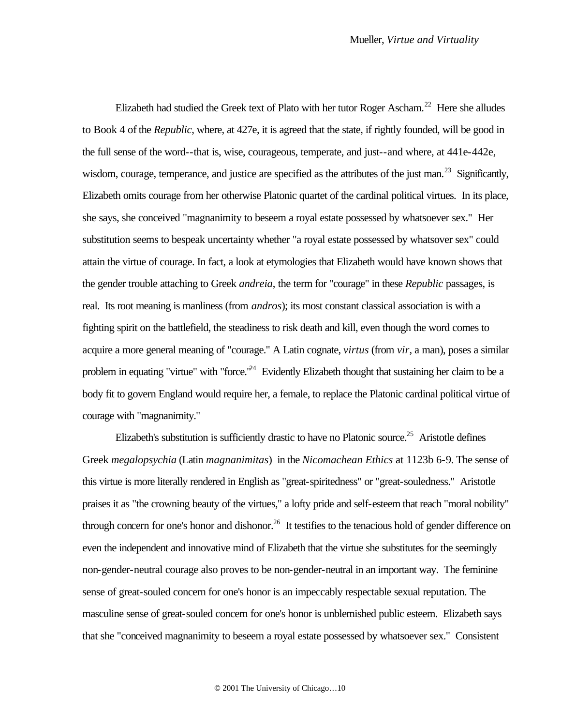Elizabeth had studied the Greek text of Plato with her tutor Roger Ascham.<sup>22</sup> Here she alludes to Book 4 of the *Republic*, where, at 427e, it is agreed that the state, if rightly founded, will be good in the full sense of the word--that is, wise, courageous, temperate, and just--and where, at 441e-442e, wisdom, courage, temperance, and justice are specified as the attributes of the just man.<sup>23</sup> Significantly, Elizabeth omits courage from her otherwise Platonic quartet of the cardinal political virtues. In its place, she says, she conceived "magnanimity to beseem a royal estate possessed by whatsoever sex." Her substitution seems to bespeak uncertainty whether "a royal estate possessed by whatsover sex" could attain the virtue of courage. In fact, a look at etymologies that Elizabeth would have known shows that the gender trouble attaching to Greek *andreia*, the term for "courage" in these *Republic* passages, is real. Its root meaning is manliness (from *andros*); its most constant classical association is with a fighting spirit on the battlefield, the steadiness to risk death and kill, even though the word comes to acquire a more general meaning of "courage." A Latin cognate, *virtus* (from *vir*, a man), poses a similar problem in equating "virtue" with "force.<sup>"24</sup> Evidently Elizabeth thought that sustaining her claim to be a body fit to govern England would require her, a female, to replace the Platonic cardinal political virtue of courage with "magnanimity."

Elizabeth's substitution is sufficiently drastic to have no Platonic source.<sup>25</sup> Aristotle defines Greek *megalopsychia* (Latin *magnanimitas*) in the *Nicomachean Ethics* at 1123b 6-9. The sense of this virtue is more literally rendered in English as "great-spiritedness" or "great-souledness." Aristotle praises it as "the crowning beauty of the virtues," a lofty pride and self-esteem that reach "moral nobility" through concern for one's honor and dishonor.<sup>26</sup> It testifies to the tenacious hold of gender difference on even the independent and innovative mind of Elizabeth that the virtue she substitutes for the seemingly non-gender-neutral courage also proves to be non-gender-neutral in an important way. The feminine sense of great-souled concern for one's honor is an impeccably respectable sexual reputation. The masculine sense of great-souled concern for one's honor is unblemished public esteem. Elizabeth says that she "conceived magnanimity to beseem a royal estate possessed by whatsoever sex." Consistent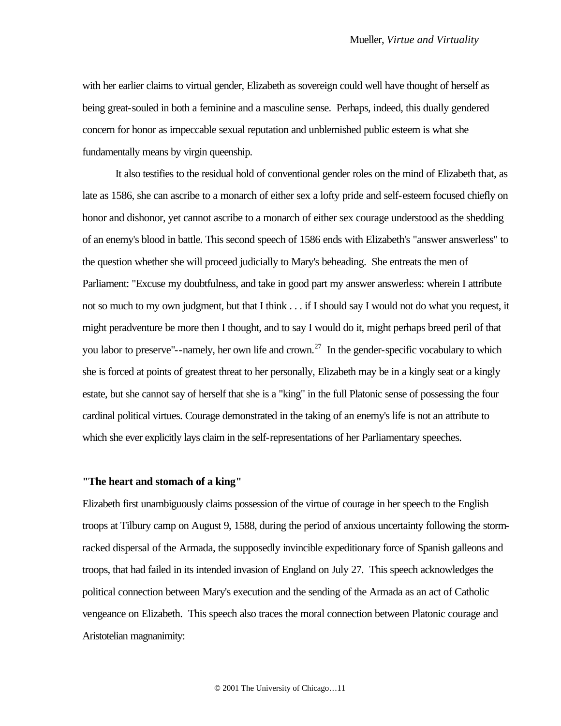with her earlier claims to virtual gender, Elizabeth as sovereign could well have thought of herself as being great-souled in both a feminine and a masculine sense. Perhaps, indeed, this dually gendered concern for honor as impeccable sexual reputation and unblemished public esteem is what she fundamentally means by virgin queenship.

It also testifies to the residual hold of conventional gender roles on the mind of Elizabeth that, as late as 1586, she can ascribe to a monarch of either sex a lofty pride and self-esteem focused chiefly on honor and dishonor, yet cannot ascribe to a monarch of either sex courage understood as the shedding of an enemy's blood in battle. This second speech of 1586 ends with Elizabeth's "answer answerless" to the question whether she will proceed judicially to Mary's beheading. She entreats the men of Parliament: "Excuse my doubtfulness, and take in good part my answer answerless: wherein I attribute not so much to my own judgment, but that I think . . . if I should say I would not do what you request, it might peradventure be more then I thought, and to say I would do it, might perhaps breed peril of that you labor to preserve"--namely, her own life and crown.<sup>27</sup> In the gender-specific vocabulary to which she is forced at points of greatest threat to her personally, Elizabeth may be in a kingly seat or a kingly estate, but she cannot say of herself that she is a "king" in the full Platonic sense of possessing the four cardinal political virtues. Courage demonstrated in the taking of an enemy's life is not an attribute to which she ever explicitly lays claim in the self-representations of her Parliamentary speeches.

#### **"The heart and stomach of a king"**

Elizabeth first unambiguously claims possession of the virtue of courage in her speech to the English troops at Tilbury camp on August 9, 1588, during the period of anxious uncertainty following the stormracked dispersal of the Armada, the supposedly invincible expeditionary force of Spanish galleons and troops, that had failed in its intended invasion of England on July 27. This speech acknowledges the political connection between Mary's execution and the sending of the Armada as an act of Catholic vengeance on Elizabeth. This speech also traces the moral connection between Platonic courage and Aristotelian magnanimity: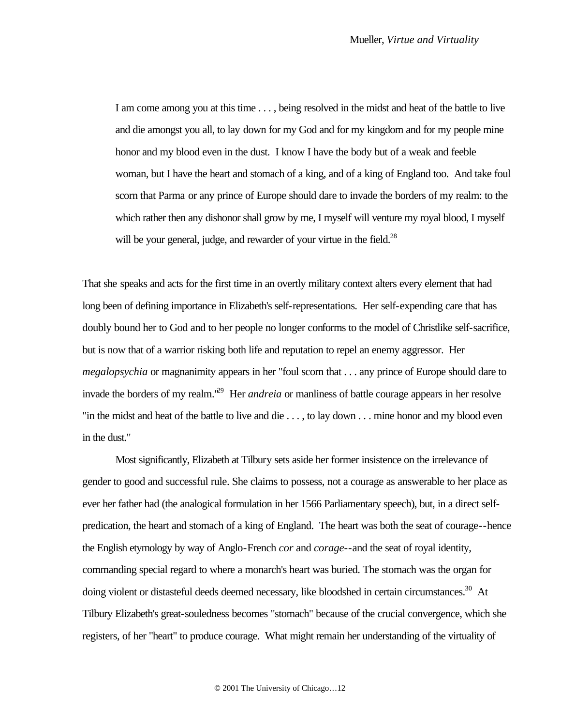I am come among you at this time . . . , being resolved in the midst and heat of the battle to live and die amongst you all, to lay down for my God and for my kingdom and for my people mine honor and my blood even in the dust. I know I have the body but of a weak and feeble woman, but I have the heart and stomach of a king, and of a king of England too. And take foul scorn that Parma or any prince of Europe should dare to invade the borders of my realm: to the which rather then any dishonor shall grow by me, I myself will venture my royal blood, I myself will be your general, judge, and rewarder of your virtue in the field.<sup>28</sup>

That she speaks and acts for the first time in an overtly military context alters every element that had long been of defining importance in Elizabeth's self-representations. Her self-expending care that has doubly bound her to God and to her people no longer conforms to the model of Christlike self-sacrifice, but is now that of a warrior risking both life and reputation to repel an enemy aggressor. Her *megalopsychia* or magnanimity appears in her "foul scorn that . . . any prince of Europe should dare to invade the borders of my realm."<sup>29</sup> Her *andreia* or manliness of battle courage appears in her resolve "in the midst and heat of the battle to live and die . . . , to lay down . . . mine honor and my blood even in the dust."

Most significantly, Elizabeth at Tilbury sets aside her former insistence on the irrelevance of gender to good and successful rule. She claims to possess, not a courage as answerable to her place as ever her father had (the analogical formulation in her 1566 Parliamentary speech), but, in a direct selfpredication, the heart and stomach of a king of England. The heart was both the seat of courage--hence the English etymology by way of Anglo-French *cor* and *corage*--and the seat of royal identity, commanding special regard to where a monarch's heart was buried. The stomach was the organ for doing violent or distasteful deeds deemed necessary, like bloodshed in certain circumstances.<sup>30</sup> At Tilbury Elizabeth's great-souledness becomes "stomach" because of the crucial convergence, which she registers, of her "heart" to produce courage. What might remain her understanding of the virtuality of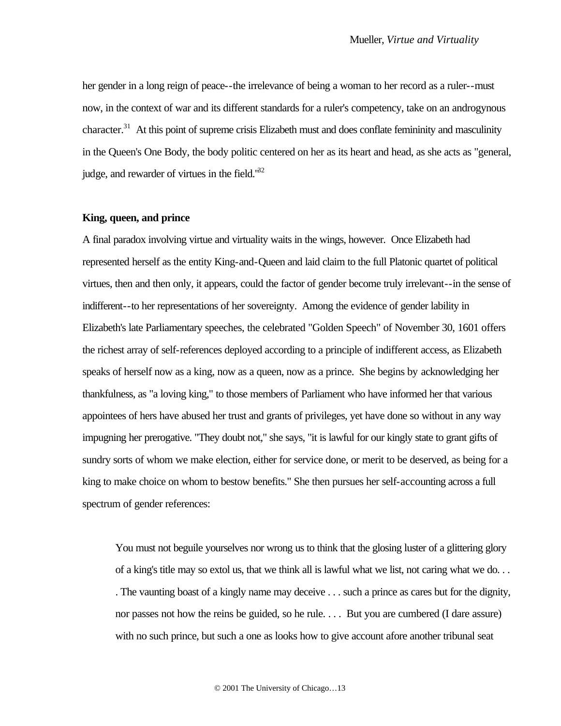her gender in a long reign of peace--the irrelevance of being a woman to her record as a ruler--must now, in the context of war and its different standards for a ruler's competency, take on an androgynous character.<sup>31</sup> At this point of supreme crisis Elizabeth must and does conflate femininity and masculinity in the Queen's One Body, the body politic centered on her as its heart and head, as she acts as "general, judge, and rewarder of virtues in the field."<sup>32</sup>

#### **King, queen, and prince**

A final paradox involving virtue and virtuality waits in the wings, however. Once Elizabeth had represented herself as the entity King-and-Queen and laid claim to the full Platonic quartet of political virtues, then and then only, it appears, could the factor of gender become truly irrelevant--in the sense of indifferent--to her representations of her sovereignty. Among the evidence of gender lability in Elizabeth's late Parliamentary speeches, the celebrated "Golden Speech" of November 30, 1601 offers the richest array of self-references deployed according to a principle of indifferent access, as Elizabeth speaks of herself now as a king, now as a queen, now as a prince. She begins by acknowledging her thankfulness, as "a loving king," to those members of Parliament who have informed her that various appointees of hers have abused her trust and grants of privileges, yet have done so without in any way impugning her prerogative. "They doubt not," she says, "it is lawful for our kingly state to grant gifts of sundry sorts of whom we make election, either for service done, or merit to be deserved, as being for a king to make choice on whom to bestow benefits." She then pursues her self-accounting across a full spectrum of gender references:

You must not beguile yourselves nor wrong us to think that the glosing luster of a glittering glory of a king's title may so extol us, that we think all is lawful what we list, not caring what we do. . . . The vaunting boast of a kingly name may deceive . . . such a prince as cares but for the dignity, nor passes not how the reins be guided, so he rule. . . . But you are cumbered (I dare assure) with no such prince, but such a one as looks how to give account afore another tribunal seat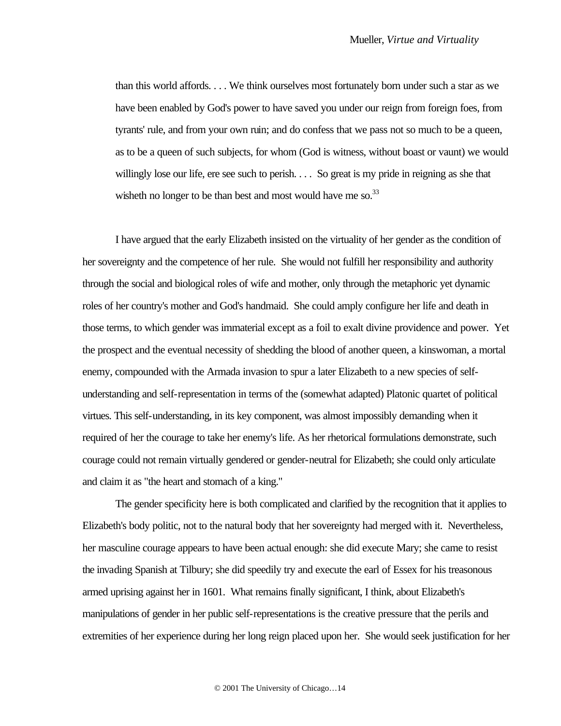than this world affords. . . . We think ourselves most fortunately born under such a star as we have been enabled by God's power to have saved you under our reign from foreign foes, from tyrants' rule, and from your own ruin; and do confess that we pass not so much to be a queen, as to be a queen of such subjects, for whom (God is witness, without boast or vaunt) we would willingly lose our life, ere see such to perish. . . . So great is my pride in reigning as she that wisheth no longer to be than best and most would have me so.<sup>33</sup>

I have argued that the early Elizabeth insisted on the virtuality of her gender as the condition of her sovereignty and the competence of her rule. She would not fulfill her responsibility and authority through the social and biological roles of wife and mother, only through the metaphoric yet dynamic roles of her country's mother and God's handmaid. She could amply configure her life and death in those terms, to which gender was immaterial except as a foil to exalt divine providence and power. Yet the prospect and the eventual necessity of shedding the blood of another queen, a kinswoman, a mortal enemy, compounded with the Armada invasion to spur a later Elizabeth to a new species of selfunderstanding and self-representation in terms of the (somewhat adapted) Platonic quartet of political virtues. This self-understanding, in its key component, was almost impossibly demanding when it required of her the courage to take her enemy's life. As her rhetorical formulations demonstrate, such courage could not remain virtually gendered or gender-neutral for Elizabeth; she could only articulate and claim it as "the heart and stomach of a king."

The gender specificity here is both complicated and clarified by the recognition that it applies to Elizabeth's body politic, not to the natural body that her sovereignty had merged with it. Nevertheless, her masculine courage appears to have been actual enough: she did execute Mary; she came to resist the invading Spanish at Tilbury; she did speedily try and execute the earl of Essex for his treasonous armed uprising against her in 1601. What remains finally significant, I think, about Elizabeth's manipulations of gender in her public self-representations is the creative pressure that the perils and extremities of her experience during her long reign placed upon her. She would seek justification for her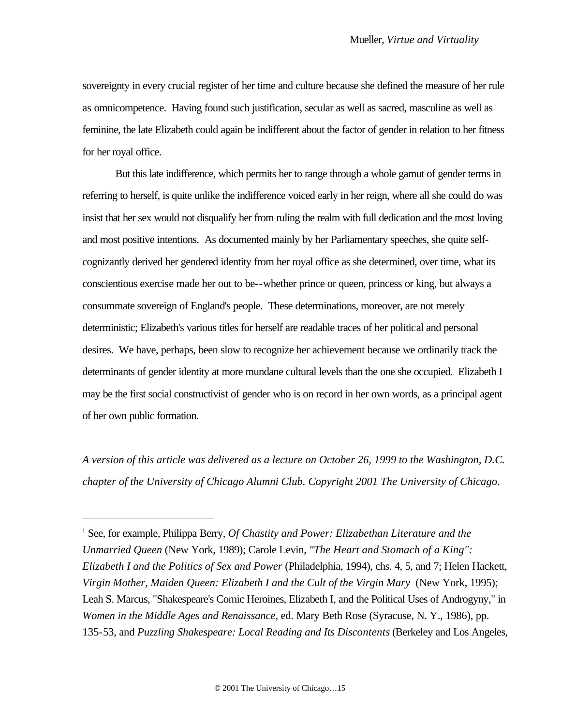sovereignty in every crucial register of her time and culture because she defined the measure of her rule as omnicompetence. Having found such justification, secular as well as sacred, masculine as well as feminine, the late Elizabeth could again be indifferent about the factor of gender in relation to her fitness for her royal office.

But this late indifference, which permits her to range through a whole gamut of gender terms in referring to herself, is quite unlike the indifference voiced early in her reign, where all she could do was insist that her sex would not disqualify her from ruling the realm with full dedication and the most loving and most positive intentions. As documented mainly by her Parliamentary speeches, she quite selfcognizantly derived her gendered identity from her royal office as she determined, over time, what its conscientious exercise made her out to be--whether prince or queen, princess or king, but always a consummate sovereign of England's people. These determinations, moreover, are not merely deterministic; Elizabeth's various titles for herself are readable traces of her political and personal desires. We have, perhaps, been slow to recognize her achievement because we ordinarily track the determinants of gender identity at more mundane cultural levels than the one she occupied. Elizabeth I may be the first social constructivist of gender who is on record in her own words, as a principal agent of her own public formation.

*A version of this article was delivered as a lecture on October 26, 1999 to the Washington, D.C. chapter of the University of Chicago Alumni Club. Copyright 2001 The University of Chicago.*

 $\overline{a}$ 

<sup>&</sup>lt;sup>1</sup> See, for example, Philippa Berry, *Of Chastity and Power: Elizabethan Literature and the Unmarried Queen* (New York, 1989); Carole Levin, *"The Heart and Stomach of a King": Elizabeth I and the Politics of Sex and Power* (Philadelphia, 1994), chs. 4, 5, and 7; Helen Hackett, *Virgin Mother, Maiden Queen: Elizabeth I and the Cult of the Virgin Mary* (New York, 1995); Leah S. Marcus, "Shakespeare's Comic Heroines, Elizabeth I, and the Political Uses of Androgyny," in *Women in the Middle Ages and Renaissance*, ed. Mary Beth Rose (Syracuse, N. Y., 1986), pp. 135-53, and *Puzzling Shakespeare: Local Reading and Its Discontents* (Berkeley and Los Angeles,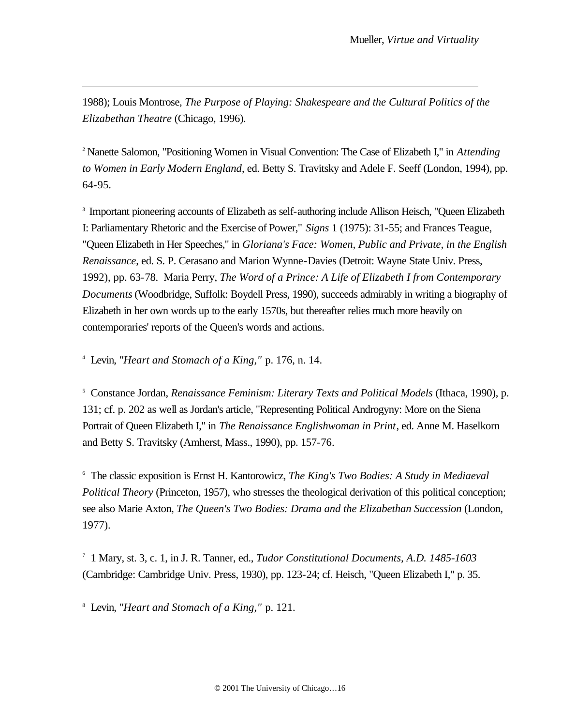1988); Louis Montrose, *The Purpose of Playing: Shakespeare and the Cultural Politics of the Elizabethan Theatre* (Chicago, 1996).

<sup>2</sup> Nanette Salomon, "Positioning Women in Visual Convention: The Case of Elizabeth I," in *Attending to Women in Early Modern England*, ed. Betty S. Travitsky and Adele F. Seeff (London, 1994), pp. 64-95.

<sup>3</sup> Important pioneering accounts of Elizabeth as self-authoring include Allison Heisch, "Queen Elizabeth I: Parliamentary Rhetoric and the Exercise of Power," *Signs* 1 (1975): 31-55; and Frances Teague, "Queen Elizabeth in Her Speeches," in *Gloriana's Face: Women, Public and Private, in the English Renaissance*, ed. S. P. Cerasano and Marion Wynne-Davies (Detroit: Wayne State Univ. Press, 1992), pp. 63-78. Maria Perry, *The Word of a Prince: A Life of Elizabeth I from Contemporary Documents* (Woodbridge, Suffolk: Boydell Press, 1990), succeeds admirably in writing a biography of Elizabeth in her own words up to the early 1570s, but thereafter relies much more heavily on contemporaries' reports of the Queen's words and actions.

4 Levin, *"Heart and Stomach of a King,"* p. 176, n. 14.

 $\overline{a}$ 

5 Constance Jordan, *Renaissance Feminism: Literary Texts and Political Models* (Ithaca, 1990), p. 131; cf. p. 202 as well as Jordan's article, "Representing Political Androgyny: More on the Siena Portrait of Queen Elizabeth I," in *The Renaissance Englishwoman in Print*, ed. Anne M. Haselkorn and Betty S. Travitsky (Amherst, Mass., 1990), pp. 157-76.

6 The classic exposition is Ernst H. Kantorowicz, *The King's Two Bodies: A Study in Mediaeval Political Theory* (Princeton, 1957), who stresses the theological derivation of this political conception; see also Marie Axton, *The Queen's Two Bodies: Drama and the Elizabethan Succession* (London, 1977).

7 1 Mary, st. 3, c. 1, in J. R. Tanner, ed., *Tudor Constitutional Documents, A.D. 1485-1603* (Cambridge: Cambridge Univ. Press, 1930), pp. 123-24; cf. Heisch, "Queen Elizabeth I," p. 35.

8 Levin, *"Heart and Stomach of a King,"* p. 121.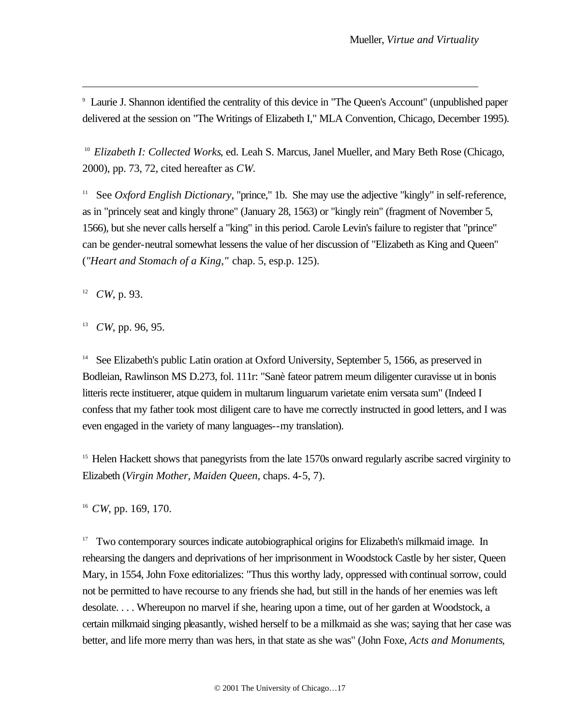9 Laurie J. Shannon identified the centrality of this device in "The Queen's Account" (unpublished paper delivered at the session on "The Writings of Elizabeth I," MLA Convention, Chicago, December 1995).

<sup>10</sup> Elizabeth I: Collected Works, ed. Leah S. Marcus, Janel Mueller, and Mary Beth Rose (Chicago, 2000), pp. 73, 72, cited hereafter as *CW*.

<sup>11</sup> See *Oxford English Dictionary*, "prince," 1b. She may use the adjective "kingly" in self-reference, as in "princely seat and kingly throne" (January 28, 1563) or "kingly rein" (fragment of November 5, 1566), but she never calls herself a "king" in this period. Carole Levin's failure to register that "prince" can be gender-neutral somewhat lessens the value of her discussion of "Elizabeth as King and Queen" (*"Heart and Stomach of a King*,*"* chap. 5, esp.p. 125).

 $12$  *CW*, p. 93.

 $\overline{a}$ 

13 *CW*, pp. 96, 95.

<sup>14</sup> See Elizabeth's public Latin oration at Oxford University, September 5, 1566, as preserved in Bodleian, Rawlinson MS D.273, fol. 111r: "Sanè fateor patrem meum diligenter curavisse ut in bonis litteris recte instituerer, atque quidem in multarum linguarum varietate enim versata sum" (Indeed I confess that my father took most diligent care to have me correctly instructed in good letters, and I was even engaged in the variety of many languages--my translation).

<sup>15</sup> Helen Hackett shows that panegyrists from the late 1570s onward regularly ascribe sacred virginity to Elizabeth (*Virgin Mother, Maiden Queen*, chaps. 4-5, 7).

<sup>16</sup> *CW*, pp. 169, 170.

<sup>17</sup> Two contemporary sources indicate autobiographical origins for Elizabeth's milkmaid image. In rehearsing the dangers and deprivations of her imprisonment in Woodstock Castle by her sister, Queen Mary, in 1554, John Foxe editorializes: "Thus this worthy lady, oppressed with continual sorrow, could not be permitted to have recourse to any friends she had, but still in the hands of her enemies was left desolate. . . . Whereupon no marvel if she, hearing upon a time, out of her garden at Woodstock, a certain milkmaid singing pleasantly, wished herself to be a milkmaid as she was; saying that her case was better, and life more merry than was hers, in that state as she was" (John Foxe, *Acts and Monuments*,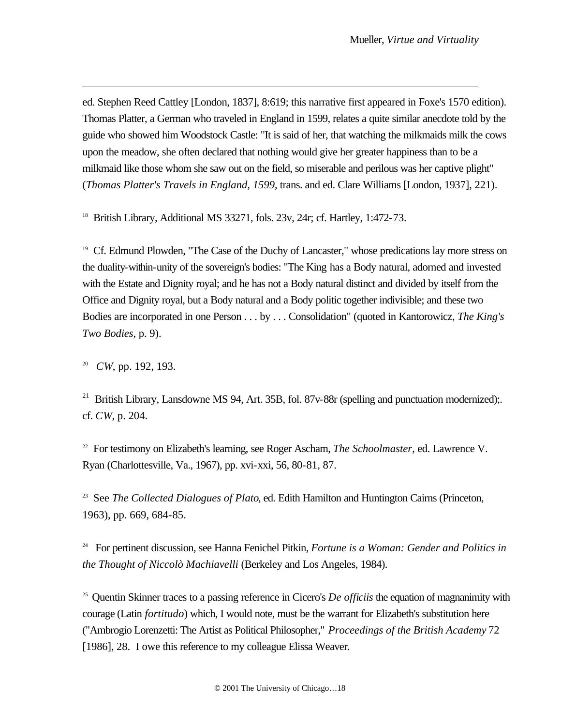ed. Stephen Reed Cattley [London, 1837], 8:619; this narrative first appeared in Foxe's 1570 edition). Thomas Platter, a German who traveled in England in 1599, relates a quite similar anecdote told by the guide who showed him Woodstock Castle: "It is said of her, that watching the milkmaids milk the cows upon the meadow, she often declared that nothing would give her greater happiness than to be a milkmaid like those whom she saw out on the field, so miserable and perilous was her captive plight" (*Thomas Platter's Travels in England, 1599*, trans. and ed. Clare Williams [London, 1937], 221).

<sup>18</sup> British Library, Additional MS 33271, fols.  $23v$ ,  $24r$ ; cf. Hartley,  $1:472-73$ .

<sup>19</sup> Cf. Edmund Plowden, "The Case of the Duchy of Lancaster," whose predications lay more stress on the duality-within-unity of the sovereign's bodies: "The King has a Body natural, adorned and invested with the Estate and Dignity royal; and he has not a Body natural distinct and divided by itself from the Office and Dignity royal, but a Body natural and a Body politic together indivisible; and these two Bodies are incorporated in one Person . . . by . . . Consolidation" (quoted in Kantorowicz, *The King's Two Bodies*, p. 9).

20 *CW*, pp. 192, 193.

 $\overline{a}$ 

<sup>21</sup> British Library, Lansdowne MS 94, Art. 35B, fol. 87v-88r (spelling and punctuation modernized);. cf. *CW*, p. 204.

22 For testimony on Elizabeth's learning, see Roger Ascham, *The Schoolmaster*, ed. Lawrence V. Ryan (Charlottesville, Va., 1967), pp. xvi-xxi, 56, 80-81, 87.

<sup>23</sup> See *The Collected Dialogues of Plato*, ed. Edith Hamilton and Huntington Cairns (Princeton, 1963), pp. 669, 684-85.

<sup>24</sup> For pertinent discussion, see Hanna Fenichel Pitkin, *Fortune is a Woman: Gender and Politics in the Thought of Niccolò Machiavelli* (Berkeley and Los Angeles, 1984).

<sup>25</sup> Quentin Skinner traces to a passing reference in Cicero's *De officiis* the equation of magnanimity with courage (Latin *fortitudo*) which, I would note, must be the warrant for Elizabeth's substitution here ("Ambrogio Lorenzetti: The Artist as Political Philosopher," *Proceedings of the British Academy* 72 [1986], 28. I owe this reference to my colleague Elissa Weaver.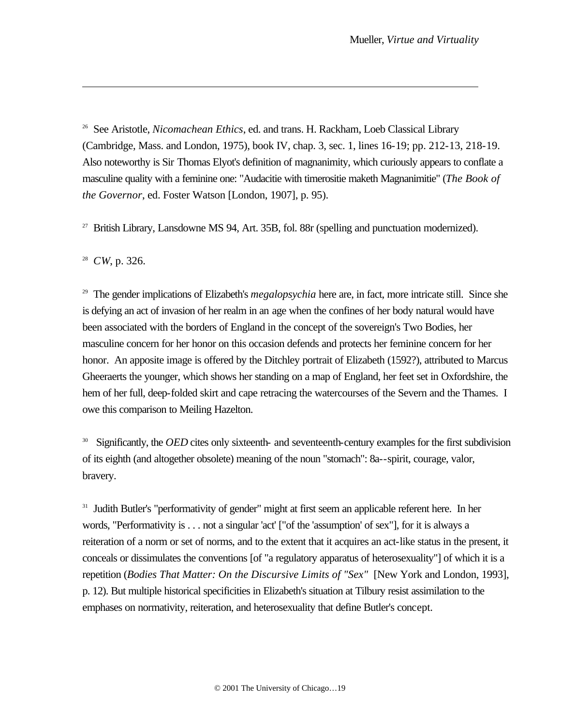<sup>26</sup> See Aristotle, *Nicomachean Ethics*, ed. and trans. H. Rackham, Loeb Classical Library (Cambridge, Mass. and London, 1975), book IV, chap. 3, sec. 1, lines 16-19; pp. 212-13, 218-19. Also noteworthy is Sir Thomas Elyot's definition of magnanimity, which curiously appears to conflate a masculine quality with a feminine one: "Audacitie with timerositie maketh Magnanimitie" (*The Book of the Governor*, ed. Foster Watson [London, 1907], p. 95).

 $27$  British Library, Lansdowne MS 94, Art. 35B, fol. 88r (spelling and punctuation modernized).

28 *CW*, p. 326.

 $\overline{a}$ 

<sup>29</sup> The gender implications of Elizabeth's *megalopsychia* here are, in fact, more intricate still. Since she is defying an act of invasion of her realm in an age when the confines of her body natural would have been associated with the borders of England in the concept of the sovereign's Two Bodies, her masculine concern for her honor on this occasion defends and protects her feminine concern for her honor. An apposite image is offered by the Ditchley portrait of Elizabeth (1592?), attributed to Marcus Gheeraerts the younger, which shows her standing on a map of England, her feet set in Oxfordshire, the hem of her full, deep-folded skirt and cape retracing the watercourses of the Severn and the Thames. I owe this comparison to Meiling Hazelton.

<sup>30</sup> Significantly, the *OED* cites only sixteenth- and seventeenth-century examples for the first subdivision of its eighth (and altogether obsolete) meaning of the noun "stomach": 8a--spirit, courage, valor, bravery.

<sup>31</sup> Judith Butler's "performativity of gender" might at first seem an applicable referent here. In her words, "Performativity is . . . not a singular 'act' ["of the 'assumption' of sex"], for it is always a reiteration of a norm or set of norms, and to the extent that it acquires an act-like status in the present, it conceals or dissimulates the conventions [of "a regulatory apparatus of heterosexuality"] of which it is a repetition (*Bodies That Matter: On the Discursive Limits of "Sex"* [New York and London, 1993], p. 12). But multiple historical specificities in Elizabeth's situation at Tilbury resist assimilation to the emphases on normativity, reiteration, and heterosexuality that define Butler's concept.